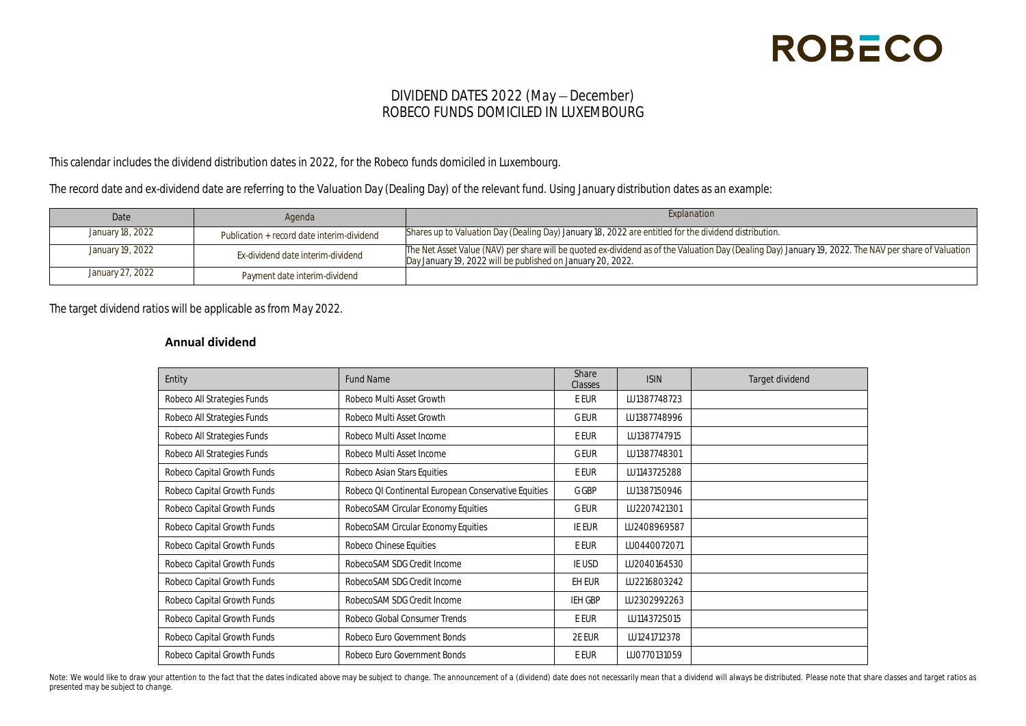#### DIVIDEND DATES 2022 (May - December) ROBECO FUNDS DOMICILED IN LUXEMBOURG

This calendar includes the dividend distribution dates in 2022, for the Robeco funds domiciled in Luxembourg.

The record date and ex-dividend date are referring to the Valuation Day (Dealing Day) of the relevant fund. Using January distribution dates as an example:

| Date             | Agenda                                     | Explanation                                                                                                                                                                                                             |
|------------------|--------------------------------------------|-------------------------------------------------------------------------------------------------------------------------------------------------------------------------------------------------------------------------|
| January 18, 2022 | Publication + record date interim-dividend | Shares up to Valuation Day (Dealing Day) January 18, 2022 are entitled for the dividend distribution.                                                                                                                   |
| January 19, 2022 | Ex-dividend date interim-dividend          | [The Net Asset Value (NAV) per share will be quoted ex-dividend as of the Valuation Day (Dealing Day) January 19, 2022. The NAV per share of Valuation  <br>Day January 19, 2022 will be published on January 20, 2022. |
| January 27, 2022 | Payment date interim-dividend              |                                                                                                                                                                                                                         |

The target dividend ratios will be applicable as from May 2022.

#### **Annual dividend**

| Entity                      | <b>Fund Name</b>                                     | Share<br><b>Classes</b> | <b>ISIN</b>  | Target dividend |
|-----------------------------|------------------------------------------------------|-------------------------|--------------|-----------------|
| Robeco All Strategies Funds | Robeco Multi Asset Growth                            | E EUR                   | LU1387748723 |                 |
| Robeco All Strategies Funds | Robeco Multi Asset Growth                            | <b>GEUR</b>             | LU1387748996 |                 |
| Robeco All Strategies Funds | Robeco Multi Asset Income                            | E EUR                   | LU1387747915 |                 |
| Robeco All Strategies Funds | Robeco Multi Asset Income                            | <b>GEUR</b>             | LU1387748301 |                 |
| Robeco Capital Growth Funds | Robeco Asian Stars Equities                          | E EUR                   | LU1143725288 |                 |
| Robeco Capital Growth Funds | Robeco QI Continental European Conservative Equities | G GBP                   | LU1387150946 |                 |
| Robeco Capital Growth Funds | RobecoSAM Circular Economy Equities                  | <b>GEUR</b>             | LU2207421301 |                 |
| Robeco Capital Growth Funds | RobecoSAM Circular Economy Equities                  | IE EUR                  | LU2408969587 |                 |
| Robeco Capital Growth Funds | Robeco Chinese Equities                              | E EUR                   | LU0440072071 |                 |
| Robeco Capital Growth Funds | RobecoSAM SDG Credit Income                          | IE USD                  | LU2040164530 |                 |
| Robeco Capital Growth Funds | RobecoSAM SDG Credit Income                          | EH EUR                  | LU2216803242 |                 |
| Robeco Capital Growth Funds | RobecoSAM SDG Credit Income                          | IEH GBP                 | LU2302992263 |                 |
| Robeco Capital Growth Funds | Robeco Global Consumer Trends                        | E EUR                   | LU1143725015 |                 |
| Robeco Capital Growth Funds | Robeco Euro Government Bonds                         | 2E EUR                  | LU1241712378 |                 |
| Robeco Capital Growth Funds | Robeco Euro Government Bonds                         | E EUR                   | LU0770131059 |                 |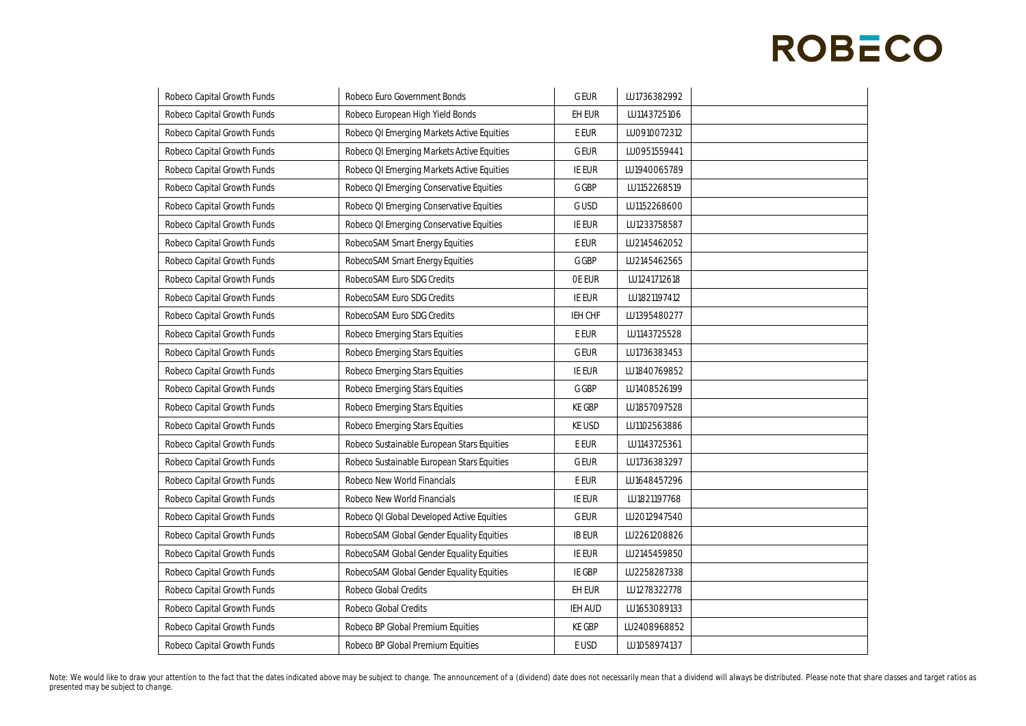| Robeco Capital Growth Funds | Robeco Euro Government Bonds               | <b>GEUR</b>    | LU1736382992 |  |
|-----------------------------|--------------------------------------------|----------------|--------------|--|
| Robeco Capital Growth Funds | Robeco European High Yield Bonds           | EH EUR         | LU1143725106 |  |
| Robeco Capital Growth Funds | Robeco QI Emerging Markets Active Equities | E EUR          | LU0910072312 |  |
| Robeco Capital Growth Funds | Robeco QI Emerging Markets Active Equities | <b>GEUR</b>    | LU0951559441 |  |
| Robeco Capital Growth Funds | Robeco QI Emerging Markets Active Equities | IE EUR         | LU1940065789 |  |
| Robeco Capital Growth Funds | Robeco QI Emerging Conservative Equities   | G GBP          | LU1152268519 |  |
| Robeco Capital Growth Funds | Robeco QI Emerging Conservative Equities   | G USD          | LU1152268600 |  |
| Robeco Capital Growth Funds | Robeco QI Emerging Conservative Equities   | IE EUR         | LU1233758587 |  |
| Robeco Capital Growth Funds | RobecoSAM Smart Energy Equities            | E EUR          | LU2145462052 |  |
| Robeco Capital Growth Funds | RobecoSAM Smart Energy Equities            | G GBP          | LU2145462565 |  |
| Robeco Capital Growth Funds | RobecoSAM Euro SDG Credits                 | OE EUR         | LU1241712618 |  |
| Robeco Capital Growth Funds | RobecoSAM Euro SDG Credits                 | IE EUR         | LU1821197412 |  |
| Robeco Capital Growth Funds | RobecoSAM Euro SDG Credits                 | IEH CHF        | LU1395480277 |  |
| Robeco Capital Growth Funds | Robeco Emerging Stars Equities             | E EUR          | LU1143725528 |  |
| Robeco Capital Growth Funds | Robeco Emerging Stars Equities             | <b>GEUR</b>    | LU1736383453 |  |
| Robeco Capital Growth Funds | Robeco Emerging Stars Equities             | IE EUR         | LU1840769852 |  |
| Robeco Capital Growth Funds | Robeco Emerging Stars Equities             | G GBP          | LU1408526199 |  |
| Robeco Capital Growth Funds | Robeco Emerging Stars Equities             | <b>KE GBP</b>  | LU1857097528 |  |
| Robeco Capital Growth Funds | Robeco Emerging Stars Equities             | <b>KE USD</b>  | LU1102563886 |  |
| Robeco Capital Growth Funds | Robeco Sustainable European Stars Equities | E EUR          | LU1143725361 |  |
| Robeco Capital Growth Funds | Robeco Sustainable European Stars Equities | <b>GEUR</b>    | LU1736383297 |  |
| Robeco Capital Growth Funds | Robeco New World Financials                | E EUR          | LU1648457296 |  |
| Robeco Capital Growth Funds | Robeco New World Financials                | IE EUR         | LU1821197768 |  |
| Robeco Capital Growth Funds | Robeco QI Global Developed Active Equities | <b>GEUR</b>    | LU2012947540 |  |
| Robeco Capital Growth Funds | RobecoSAM Global Gender Equality Equities  | <b>IB EUR</b>  | LU2261208826 |  |
| Robeco Capital Growth Funds | RobecoSAM Global Gender Equality Equities  | IE EUR         | LU2145459850 |  |
| Robeco Capital Growth Funds | RobecoSAM Global Gender Equality Equities  | IE GBP         | LU2258287338 |  |
| Robeco Capital Growth Funds | Robeco Global Credits                      | EH EUR         | LU1278322778 |  |
| Robeco Capital Growth Funds | Robeco Global Credits                      | <b>IEH AUD</b> | LU1653089133 |  |
| Robeco Capital Growth Funds | Robeco BP Global Premium Equities          | <b>KE GBP</b>  | LU2408968852 |  |
| Robeco Capital Growth Funds | Robeco BP Global Premium Equities          | E USD          | LU1058974137 |  |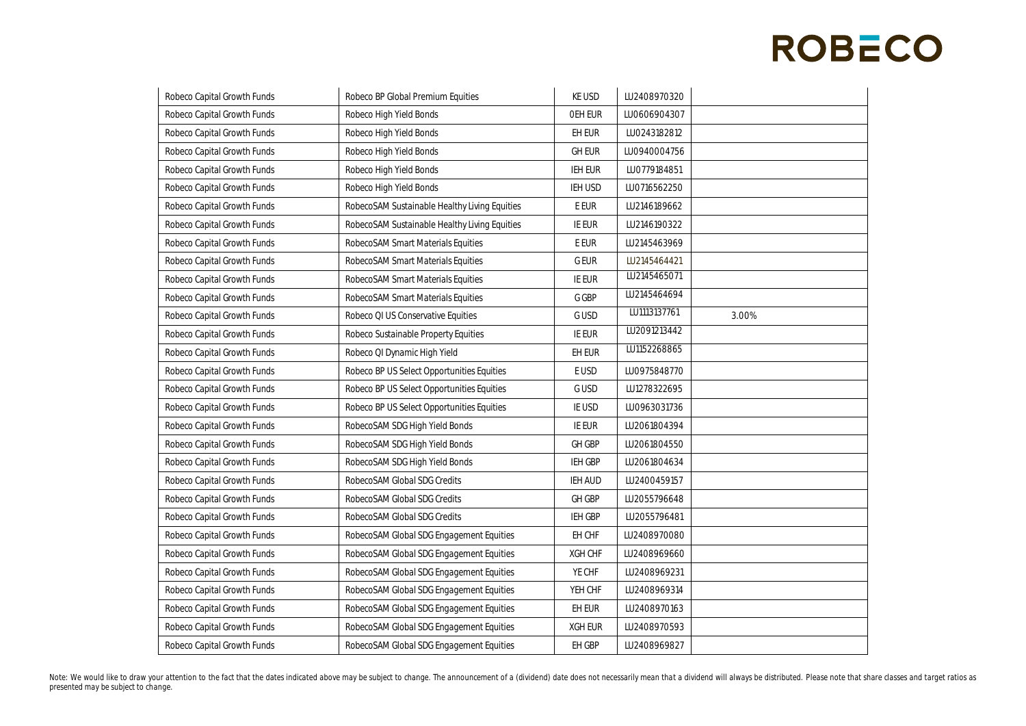| Robeco Capital Growth Funds | Robeco BP Global Premium Equities             | KE USD         | LU2408970320 |       |
|-----------------------------|-----------------------------------------------|----------------|--------------|-------|
| Robeco Capital Growth Funds | Robeco High Yield Bonds                       | OEH EUR        | LU0606904307 |       |
| Robeco Capital Growth Funds | Robeco High Yield Bonds                       | EH EUR         | LU0243182812 |       |
| Robeco Capital Growth Funds | Robeco High Yield Bonds                       | <b>GH EUR</b>  | LU0940004756 |       |
| Robeco Capital Growth Funds | Robeco High Yield Bonds                       | <b>IEH EUR</b> | LU0779184851 |       |
| Robeco Capital Growth Funds | Robeco High Yield Bonds                       | IEH USD        | LU0716562250 |       |
| Robeco Capital Growth Funds | RobecoSAM Sustainable Healthy Living Equities | E EUR          | LU2146189662 |       |
| Robeco Capital Growth Funds | RobecoSAM Sustainable Healthy Living Equities | IE EUR         | LU2146190322 |       |
| Robeco Capital Growth Funds | RobecoSAM Smart Materials Equities            | E EUR          | LU2145463969 |       |
| Robeco Capital Growth Funds | RobecoSAM Smart Materials Equities            | <b>GEUR</b>    | LU2145464421 |       |
| Robeco Capital Growth Funds | RobecoSAM Smart Materials Equities            | IE EUR         | LU2145465071 |       |
| Robeco Capital Growth Funds | RobecoSAM Smart Materials Equities            | G GBP          | LU2145464694 |       |
| Robeco Capital Growth Funds | Robeco QI US Conservative Equities            | G USD          | LU1113137761 | 3.00% |
| Robeco Capital Growth Funds | Robeco Sustainable Property Equities          | IE EUR         | LU2091213442 |       |
| Robeco Capital Growth Funds | Robeco QI Dynamic High Yield                  | EH EUR         | LU1152268865 |       |
| Robeco Capital Growth Funds | Robeco BP US Select Opportunities Equities    | E USD          | LU0975848770 |       |
| Robeco Capital Growth Funds | Robeco BP US Select Opportunities Equities    | G USD          | LU1278322695 |       |
| Robeco Capital Growth Funds | Robeco BP US Select Opportunities Equities    | IE USD         | LU0963031736 |       |
| Robeco Capital Growth Funds | RobecoSAM SDG High Yield Bonds                | IE EUR         | LU2061804394 |       |
| Robeco Capital Growth Funds | RobecoSAM SDG High Yield Bonds                | <b>GH GBP</b>  | LU2061804550 |       |
| Robeco Capital Growth Funds | RobecoSAM SDG High Yield Bonds                | IEH GBP        | LU2061804634 |       |
| Robeco Capital Growth Funds | RobecoSAM Global SDG Credits                  | IEH AUD        | LU2400459157 |       |
| Robeco Capital Growth Funds | RobecoSAM Global SDG Credits                  | GH GBP         | LU2055796648 |       |
| Robeco Capital Growth Funds | RobecoSAM Global SDG Credits                  | IEH GBP        | LU2055796481 |       |
| Robeco Capital Growth Funds | RobecoSAM Global SDG Engagement Equities      | EH CHF         | LU2408970080 |       |
| Robeco Capital Growth Funds | RobecoSAM Global SDG Engagement Equities      | XGH CHF        | LU2408969660 |       |
| Robeco Capital Growth Funds | RobecoSAM Global SDG Engagement Equities      | YE CHF         | LU2408969231 |       |
| Robeco Capital Growth Funds | RobecoSAM Global SDG Engagement Equities      | YEH CHF        | LU2408969314 |       |
| Robeco Capital Growth Funds | RobecoSAM Global SDG Engagement Equities      | EH EUR         | LU2408970163 |       |
| Robeco Capital Growth Funds | RobecoSAM Global SDG Engagement Equities      | XGH EUR        | LU2408970593 |       |
| Robeco Capital Growth Funds | RobecoSAM Global SDG Engagement Equities      | EH GBP         | LU2408969827 |       |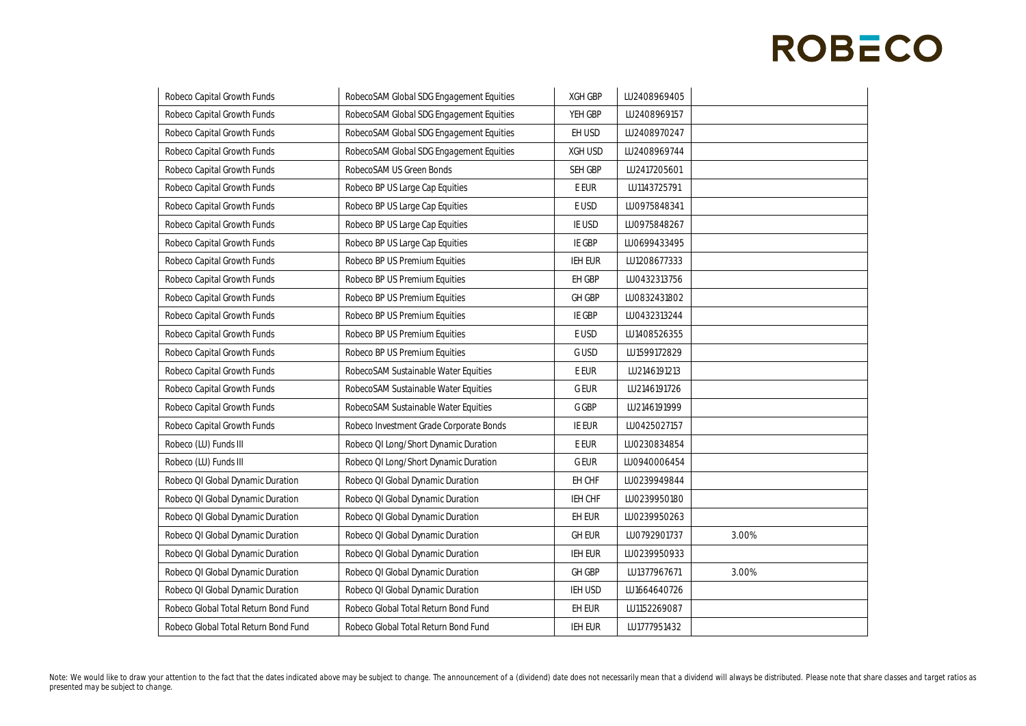| Robeco Capital Growth Funds          | RobecoSAM Global SDG Engagement Equities | XGH GBP       | LU2408969405 |       |
|--------------------------------------|------------------------------------------|---------------|--------------|-------|
| Robeco Capital Growth Funds          | RobecoSAM Global SDG Engagement Equities | YEH GBP       | LU2408969157 |       |
| Robeco Capital Growth Funds          | RobecoSAM Global SDG Engagement Equities | EH USD        | LU2408970247 |       |
| Robeco Capital Growth Funds          | RobecoSAM Global SDG Engagement Equities | XGH USD       | LU2408969744 |       |
| Robeco Capital Growth Funds          | RobecoSAM US Green Bonds                 | SEH GBP       | LU2417205601 |       |
| Robeco Capital Growth Funds          | Robeco BP US Large Cap Equities          | E EUR         | LU1143725791 |       |
| Robeco Capital Growth Funds          | Robeco BP US Large Cap Equities          | E USD         | LU0975848341 |       |
| Robeco Capital Growth Funds          | Robeco BP US Large Cap Equities          | IE USD        | LU0975848267 |       |
| Robeco Capital Growth Funds          | Robeco BP US Large Cap Equities          | IE GBP        | LU0699433495 |       |
| Robeco Capital Growth Funds          | Robeco BP US Premium Equities            | IEH EUR       | LU1208677333 |       |
| Robeco Capital Growth Funds          | Robeco BP US Premium Equities            | EH GBP        | LU0432313756 |       |
| Robeco Capital Growth Funds          | Robeco BP US Premium Equities            | <b>GH GBP</b> | LU0832431802 |       |
| Robeco Capital Growth Funds          | Robeco BP US Premium Equities            | IE GBP        | LU0432313244 |       |
| Robeco Capital Growth Funds          | Robeco BP US Premium Equities            | E USD         | LU1408526355 |       |
| Robeco Capital Growth Funds          | Robeco BP US Premium Equities            | G USD         | LU1599172829 |       |
| Robeco Capital Growth Funds          | RobecoSAM Sustainable Water Equities     | E EUR         | LU2146191213 |       |
| Robeco Capital Growth Funds          | RobecoSAM Sustainable Water Equities     | G EUR         | LU2146191726 |       |
| Robeco Capital Growth Funds          | RobecoSAM Sustainable Water Equities     | G GBP         | LU2146191999 |       |
| Robeco Capital Growth Funds          | Robeco Investment Grade Corporate Bonds  | <b>IE EUR</b> | LU0425027157 |       |
| Robeco (LU) Funds III                | Robeco QI Long/Short Dynamic Duration    | E EUR         | LU0230834854 |       |
| Robeco (LU) Funds III                | Robeco QI Long/Short Dynamic Duration    | <b>GEUR</b>   | LU0940006454 |       |
| Robeco QI Global Dynamic Duration    | Robeco QI Global Dynamic Duration        | EH CHF        | LU0239949844 |       |
| Robeco QI Global Dynamic Duration    | Robeco QI Global Dynamic Duration        | IEH CHF       | LU0239950180 |       |
| Robeco QI Global Dynamic Duration    | Robeco QI Global Dynamic Duration        | EH EUR        | LU0239950263 |       |
| Robeco QI Global Dynamic Duration    | Robeco QI Global Dynamic Duration        | <b>GH EUR</b> | LU0792901737 | 3.00% |
| Robeco QI Global Dynamic Duration    | Robeco QI Global Dynamic Duration        | IEH EUR       | LU0239950933 |       |
| Robeco QI Global Dynamic Duration    | Robeco QI Global Dynamic Duration        | GH GBP        | LU1377967671 | 3.00% |
| Robeco QI Global Dynamic Duration    | Robeco QI Global Dynamic Duration        | IEH USD       | LU1664640726 |       |
| Robeco Global Total Return Bond Fund | Robeco Global Total Return Bond Fund     | EH EUR        | LU1152269087 |       |
| Robeco Global Total Return Bond Fund | Robeco Global Total Return Bond Fund     | IEH EUR       | LU1777951432 |       |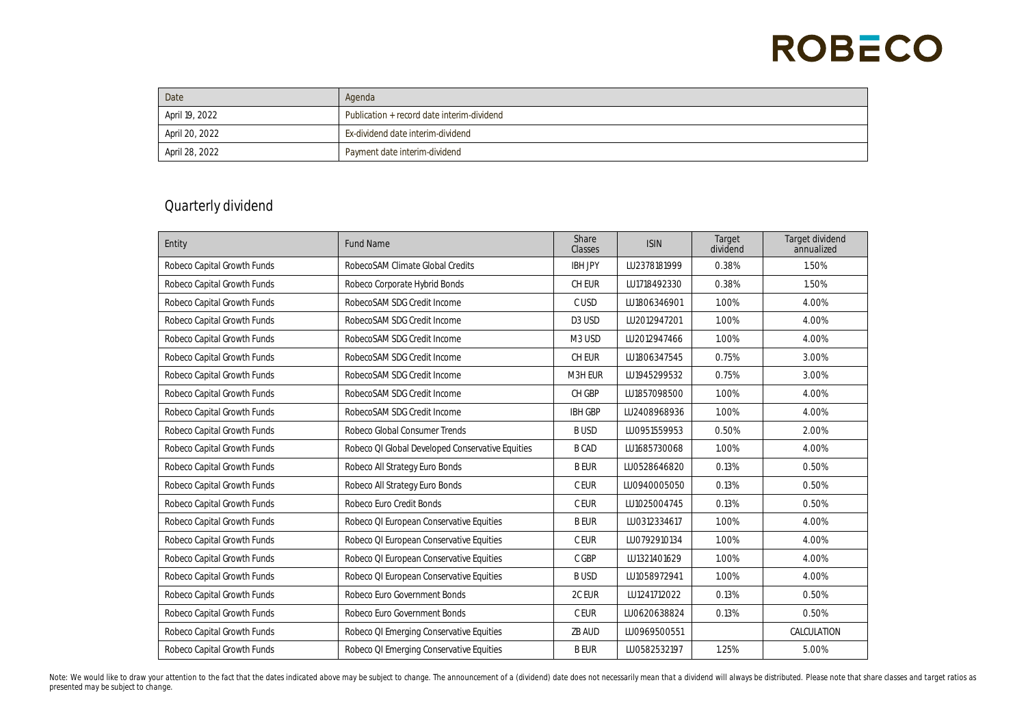| Date           | Agenda                                     |
|----------------|--------------------------------------------|
| April 19, 2022 | Publication + record date interim-dividend |
| April 20, 2022 | Ex-dividend date interim-dividend          |
| April 28, 2022 | Payment date interim-dividend              |

#### Quarterly dividend

| Entity                      | <b>Fund Name</b>                                 | Share<br>Classes   | <b>ISIN</b>  | Target<br>dividend | Target dividend<br>annualized |
|-----------------------------|--------------------------------------------------|--------------------|--------------|--------------------|-------------------------------|
| Robeco Capital Growth Funds | RobecoSAM Climate Global Credits                 | <b>IBH JPY</b>     | LU2378181999 | 0.38%              | 1.50%                         |
| Robeco Capital Growth Funds | Robeco Corporate Hybrid Bonds                    | CH EUR             | LU1718492330 | 0.38%              | 1.50%                         |
| Robeco Capital Growth Funds | RobecoSAM SDG Credit Income                      | C USD              | LU1806346901 | 1.00%              | 4.00%                         |
| Robeco Capital Growth Funds | RobecoSAM SDG Credit Income                      | D <sub>3</sub> USD | LU2012947201 | 1.00%              | 4.00%                         |
| Robeco Capital Growth Funds | RobecoSAM SDG Credit Income                      | M <sub>3</sub> USD | LU2012947466 | 1.00%              | 4.00%                         |
| Robeco Capital Growth Funds | RobecoSAM SDG Credit Income                      | CH EUR             | LU1806347545 | 0.75%              | 3.00%                         |
| Robeco Capital Growth Funds | RobecoSAM SDG Credit Income                      | M3H EUR            | LU1945299532 | 0.75%              | 3.00%                         |
| Robeco Capital Growth Funds | RobecoSAM SDG Credit Income                      | CH GBP             | LU1857098500 | 1.00%              | 4.00%                         |
| Robeco Capital Growth Funds | RobecoSAM SDG Credit Income                      | <b>IBH GBP</b>     | LU2408968936 | 1.00%              | 4.00%                         |
| Robeco Capital Growth Funds | Robeco Global Consumer Trends                    | <b>BUSD</b>        | LU0951559953 | 0.50%              | 2.00%                         |
| Robeco Capital Growth Funds | Robeco QI Global Developed Conservative Equities | <b>B CAD</b>       | LU1685730068 | 1.00%              | 4.00%                         |
| Robeco Capital Growth Funds | Robeco All Strategy Euro Bonds                   | <b>BEUR</b>        | LU0528646820 | 0.13%              | 0.50%                         |
| Robeco Capital Growth Funds | Robeco All Strategy Euro Bonds                   | C EUR              | LU0940005050 | 0.13%              | 0.50%                         |
| Robeco Capital Growth Funds | Robeco Euro Credit Bonds                         | C EUR              | LU1025004745 | 0.13%              | 0.50%                         |
| Robeco Capital Growth Funds | Robeco QI European Conservative Equities         | <b>BEUR</b>        | LU0312334617 | 1.00%              | 4.00%                         |
| Robeco Capital Growth Funds | Robeco QI European Conservative Equities         | C EUR              | LU0792910134 | 1.00%              | 4.00%                         |
| Robeco Capital Growth Funds | Robeco QI European Conservative Equities         | C GBP              | LU1321401629 | 1.00%              | 4.00%                         |
| Robeco Capital Growth Funds | Robeco QI European Conservative Equities         | <b>BUSD</b>        | LU1058972941 | 1.00%              | 4.00%                         |
| Robeco Capital Growth Funds | Robeco Euro Government Bonds                     | 2C EUR             | LU1241712022 | 0.13%              | 0.50%                         |
| Robeco Capital Growth Funds | Robeco Euro Government Bonds                     | C EUR              | LU0620638824 | 0.13%              | 0.50%                         |
| Robeco Capital Growth Funds | Robeco QI Emerging Conservative Equities         | ZB AUD             | LU0969500551 |                    | CALCULATION                   |
| Robeco Capital Growth Funds | Robeco QI Emerging Conservative Equities         | <b>BEUR</b>        | LU0582532197 | 1.25%              | 5.00%                         |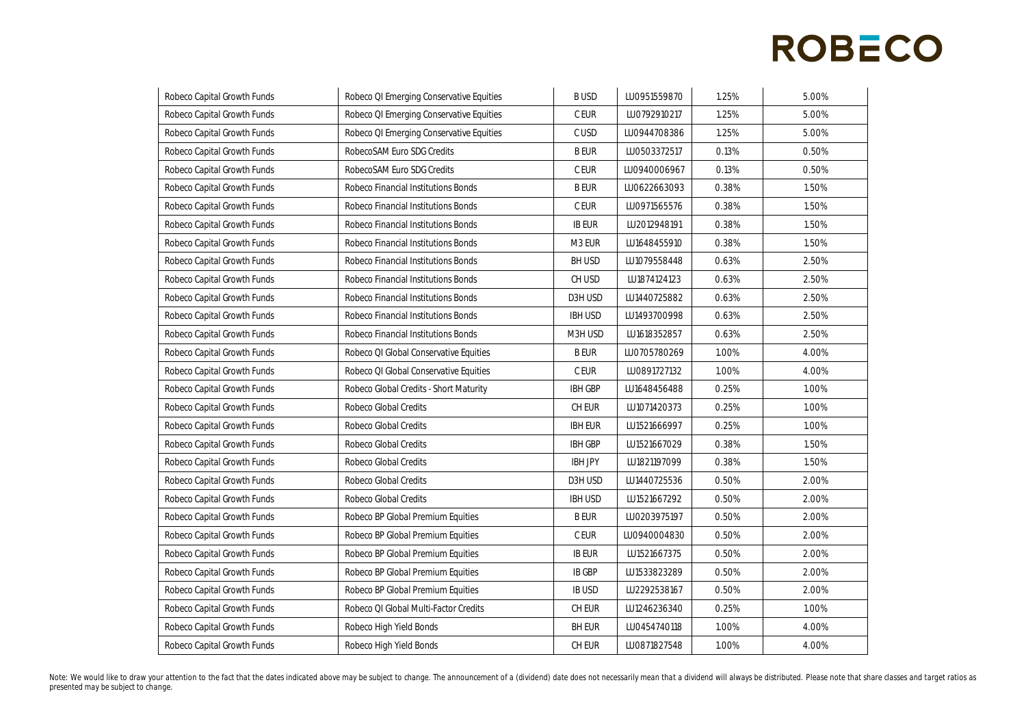| Robeco Capital Growth Funds | Robeco QI Emerging Conservative Equities | <b>BUSD</b>    | LU0951559870 | 1.25% | 5.00% |
|-----------------------------|------------------------------------------|----------------|--------------|-------|-------|
| Robeco Capital Growth Funds | Robeco QI Emerging Conservative Equities | $C$ EUR        | LU0792910217 | 1.25% | 5.00% |
| Robeco Capital Growth Funds | Robeco QI Emerging Conservative Equities | C USD          | LU0944708386 | 1.25% | 5.00% |
| Robeco Capital Growth Funds | RobecoSAM Euro SDG Credits               | <b>BEUR</b>    | LU0503372517 | 0.13% | 0.50% |
| Robeco Capital Growth Funds | RobecoSAM Euro SDG Credits               | C EUR          | LU0940006967 | 0.13% | 0.50% |
| Robeco Capital Growth Funds | Robeco Financial Institutions Bonds      | <b>BEUR</b>    | LU0622663093 | 0.38% | 1.50% |
| Robeco Capital Growth Funds | Robeco Financial Institutions Bonds      | C EUR          | LU0971565576 | 0.38% | 1.50% |
| Robeco Capital Growth Funds | Robeco Financial Institutions Bonds      | <b>IB EUR</b>  | LU2012948191 | 0.38% | 1.50% |
| Robeco Capital Growth Funds | Robeco Financial Institutions Bonds      | M3 EUR         | LU1648455910 | 0.38% | 1.50% |
| Robeco Capital Growth Funds | Robeco Financial Institutions Bonds      | <b>BH USD</b>  | LU1079558448 | 0.63% | 2.50% |
| Robeco Capital Growth Funds | Robeco Financial Institutions Bonds      | CH USD         | LU1874124123 | 0.63% | 2.50% |
| Robeco Capital Growth Funds | Robeco Financial Institutions Bonds      | D3HUSD         | LU1440725882 | 0.63% | 2.50% |
| Robeco Capital Growth Funds | Robeco Financial Institutions Bonds      | <b>IBH USD</b> | LU1493700998 | 0.63% | 2.50% |
| Robeco Capital Growth Funds | Robeco Financial Institutions Bonds      | M3HUSD         | LU1618352857 | 0.63% | 2.50% |
| Robeco Capital Growth Funds | Robeco QI Global Conservative Equities   | <b>BEUR</b>    | LU0705780269 | 1.00% | 4.00% |
| Robeco Capital Growth Funds | Robeco QI Global Conservative Equities   | C EUR          | LU0891727132 | 1.00% | 4.00% |
| Robeco Capital Growth Funds | Robeco Global Credits - Short Maturity   | <b>IBH GBP</b> | LU1648456488 | 0.25% | 1.00% |
| Robeco Capital Growth Funds | Robeco Global Credits                    | CH EUR         | LU1071420373 | 0.25% | 1.00% |
| Robeco Capital Growth Funds | Robeco Global Credits                    | <b>IBH EUR</b> | LU1521666997 | 0.25% | 1.00% |
| Robeco Capital Growth Funds | Robeco Global Credits                    | <b>IBH GBP</b> | LU1521667029 | 0.38% | 1.50% |
| Robeco Capital Growth Funds | Robeco Global Credits                    | <b>IBH JPY</b> | LU1821197099 | 0.38% | 1.50% |
| Robeco Capital Growth Funds | Robeco Global Credits                    | D3H USD        | LU1440725536 | 0.50% | 2.00% |
| Robeco Capital Growth Funds | Robeco Global Credits                    | <b>IBH USD</b> | LU1521667292 | 0.50% | 2.00% |
| Robeco Capital Growth Funds | Robeco BP Global Premium Equities        | <b>BEUR</b>    | LU0203975197 | 0.50% | 2.00% |
| Robeco Capital Growth Funds | Robeco BP Global Premium Equities        | C EUR          | LU0940004830 | 0.50% | 2.00% |
| Robeco Capital Growth Funds | Robeco BP Global Premium Equities        | <b>IB EUR</b>  | LU1521667375 | 0.50% | 2.00% |
| Robeco Capital Growth Funds | Robeco BP Global Premium Equities        | <b>IB GBP</b>  | LU1533823289 | 0.50% | 2.00% |
| Robeco Capital Growth Funds | Robeco BP Global Premium Equities        | <b>IB USD</b>  | LU2292538167 | 0.50% | 2.00% |
| Robeco Capital Growth Funds | Robeco QI Global Multi-Factor Credits    | CH EUR         | LU1246236340 | 0.25% | 1.00% |
| Robeco Capital Growth Funds | Robeco High Yield Bonds                  | <b>BH EUR</b>  | LU0454740118 | 1.00% | 4.00% |
| Robeco Capital Growth Funds | Robeco High Yield Bonds                  | CH EUR         | LU0871827548 | 1.00% | 4.00% |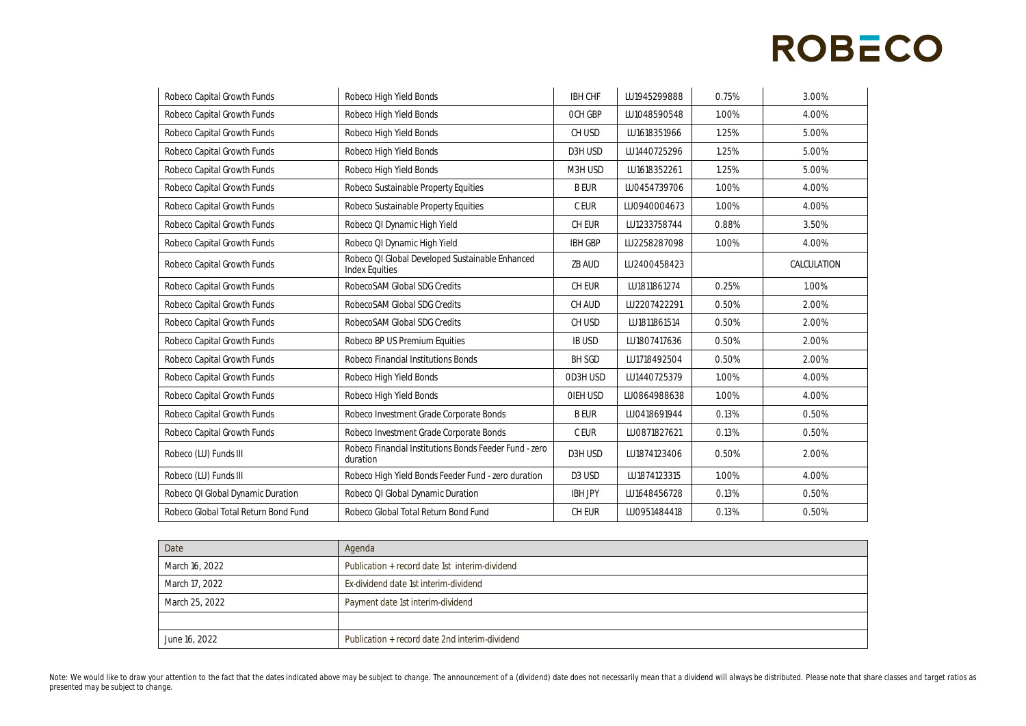| Robeco Capital Growth Funds          | Robeco High Yield Bonds                                                  | <b>IBH CHF</b>     | LU1945299888 | 0.75% | 3.00%       |
|--------------------------------------|--------------------------------------------------------------------------|--------------------|--------------|-------|-------------|
| Robeco Capital Growth Funds          | Robeco High Yield Bonds                                                  | OCH GBP            | LU1048590548 | 1.00% | 4.00%       |
| Robeco Capital Growth Funds          | Robeco High Yield Bonds                                                  | CH USD             | LU1618351966 | 1.25% | 5.00%       |
| Robeco Capital Growth Funds          | Robeco High Yield Bonds                                                  | D3H USD            | LU1440725296 | 1.25% | 5.00%       |
| Robeco Capital Growth Funds          | Robeco High Yield Bonds                                                  | M3H USD            | LU1618352261 | 1.25% | 5.00%       |
| Robeco Capital Growth Funds          | Robeco Sustainable Property Equities                                     | <b>BEUR</b>        | LU0454739706 | 1.00% | 4.00%       |
| Robeco Capital Growth Funds          | Robeco Sustainable Property Equities                                     | C EUR              | LU0940004673 | 1.00% | 4.00%       |
| Robeco Capital Growth Funds          | Robeco QI Dynamic High Yield                                             | CH EUR             | LU1233758744 | 0.88% | 3.50%       |
| Robeco Capital Growth Funds          | Robeco QI Dynamic High Yield                                             | <b>IBH GBP</b>     | LU2258287098 | 1.00% | 4.00%       |
| Robeco Capital Growth Funds          | Robeco QI Global Developed Sustainable Enhanced<br><b>Index Equities</b> | ZB AUD             | LU2400458423 |       | CALCULATION |
| Robeco Capital Growth Funds          | RobecoSAM Global SDG Credits                                             | CH EUR             | LU1811861274 | 0.25% | 1.00%       |
| Robeco Capital Growth Funds          | RobecoSAM Global SDG Credits                                             | CH AUD             | LU2207422291 | 0.50% | 2.00%       |
| Robeco Capital Growth Funds          | RobecoSAM Global SDG Credits                                             | CH USD             | LU1811861514 | 0.50% | 2.00%       |
| Robeco Capital Growth Funds          | Robeco BP US Premium Equities                                            | <b>IB USD</b>      | LU1807417636 | 0.50% | 2.00%       |
| Robeco Capital Growth Funds          | Robeco Financial Institutions Bonds                                      | <b>BH SGD</b>      | LU1718492504 | 0.50% | 2.00%       |
| Robeco Capital Growth Funds          | Robeco High Yield Bonds                                                  | OD3H USD           | LU1440725379 | 1.00% | 4.00%       |
| Robeco Capital Growth Funds          | Robeco High Yield Bonds                                                  | OIEH USD           | LU0864988638 | 1.00% | 4.00%       |
| Robeco Capital Growth Funds          | Robeco Investment Grade Corporate Bonds                                  | <b>BEUR</b>        | LU0418691944 | 0.13% | 0.50%       |
| Robeco Capital Growth Funds          | Robeco Investment Grade Corporate Bonds                                  | C EUR              | LU0871827621 | 0.13% | 0.50%       |
| Robeco (LU) Funds III                | Robeco Financial Institutions Bonds Feeder Fund - zero<br>duration       | D3H USD            | LU1874123406 | 0.50% | 2.00%       |
| Robeco (LU) Funds III                | Robeco High Yield Bonds Feeder Fund - zero duration                      | D <sub>3</sub> USD | LU1874123315 | 1.00% | 4.00%       |
| Robeco QI Global Dynamic Duration    | Robeco QI Global Dynamic Duration                                        | <b>IBH JPY</b>     | LU1648456728 | 0.13% | 0.50%       |
| Robeco Global Total Return Bond Fund | Robeco Global Total Return Bond Fund                                     | CH EUR             | LU0951484418 | 0.13% | 0.50%       |

| Date           | Agenda                                         |
|----------------|------------------------------------------------|
| March 16, 2022 | Publication + record date 1st interim-dividend |
| March 17, 2022 | Ex-dividend date 1st interim-dividend          |
| March 25, 2022 | Payment date 1st interim-dividend              |
|                |                                                |
| June 16, 2022  | Publication + record date 2nd interim-dividend |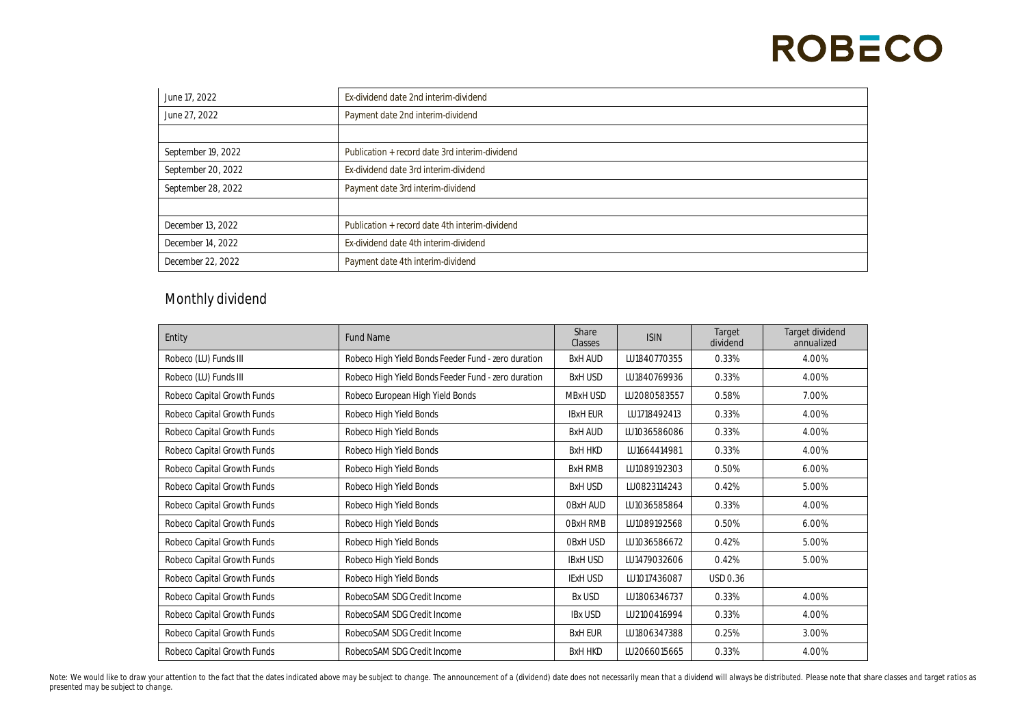| June 17, 2022      | Ex-dividend date 2nd interim-dividend          |
|--------------------|------------------------------------------------|
| June 27, 2022      | Payment date 2nd interim-dividend              |
|                    |                                                |
| September 19, 2022 | Publication + record date 3rd interim-dividend |
| September 20, 2022 | Ex-dividend date 3rd interim-dividend          |
| September 28, 2022 | Payment date 3rd interim-dividend              |
|                    |                                                |
| December 13, 2022  | Publication + record date 4th interim-dividend |
| December 14, 2022  | Ex-dividend date 4th interim-dividend          |
| December 22, 2022  | Payment date 4th interim-dividend              |

### Monthly dividend

| Entity                      | Fund Name                                           | Share<br>Classes | <b>ISIN</b>  | Target<br>dividend | Target dividend<br>annualized |
|-----------------------------|-----------------------------------------------------|------------------|--------------|--------------------|-------------------------------|
| Robeco (LU) Funds III       | Robeco High Yield Bonds Feeder Fund - zero duration | <b>BxH AUD</b>   | LU1840770355 | 0.33%              | 4.00%                         |
| Robeco (LU) Funds III       | Robeco High Yield Bonds Feeder Fund - zero duration | <b>BxH USD</b>   | LU1840769936 | 0.33%              | 4.00%                         |
| Robeco Capital Growth Funds | Robeco European High Yield Bonds                    | MBxH USD         | LU2080583557 | 0.58%              | 7.00%                         |
| Robeco Capital Growth Funds | Robeco High Yield Bonds                             | <b>IBXH EUR</b>  | LU1718492413 | 0.33%              | 4.00%                         |
| Robeco Capital Growth Funds | Robeco High Yield Bonds                             | <b>BxH AUD</b>   | LU1036586086 | 0.33%              | 4.00%                         |
| Robeco Capital Growth Funds | Robeco High Yield Bonds                             | <b>BxH HKD</b>   | IU1664414981 | 0.33%              | 4.00%                         |
| Robeco Capital Growth Funds | Robeco High Yield Bonds                             | <b>BxH RMB</b>   | 1U1089192303 | 0.50%              | 6.00%                         |
| Robeco Capital Growth Funds | Robeco High Yield Bonds                             | <b>BxH USD</b>   | LU0823114243 | 0.42%              | 5.00%                         |
| Robeco Capital Growth Funds | Robeco High Yield Bonds                             | <b>OBxH AUD</b>  | LU1036585864 | 0.33%              | 4.00%                         |
| Robeco Capital Growth Funds | Robeco High Yield Bonds                             | <b>OBxH RMB</b>  | LU1089192568 | 0.50%              | 6.00%                         |
| Robeco Capital Growth Funds | Robeco High Yield Bonds                             | OBxH USD         | LU1036586672 | 0.42%              | 5.00%                         |
| Robeco Capital Growth Funds | Robeco High Yield Bonds                             | <b>IBXH USD</b>  | LU1479032606 | 0.42%              | 5.00%                         |
| Robeco Capital Growth Funds | Robeco High Yield Bonds                             | <b>IExH USD</b>  | LU1017436087 | USD 0.36           |                               |
| Robeco Capital Growth Funds | RobecoSAM SDG Credit Income                         | Bx USD           | LU1806346737 | 0.33%              | 4.00%                         |
| Robeco Capital Growth Funds | RobecoSAM SDG Credit Income                         | <b>IBx USD</b>   | LU2100416994 | 0.33%              | 4.00%                         |
| Robeco Capital Growth Funds | RobecoSAM SDG Credit Income                         | <b>BxH EUR</b>   | LU1806347388 | 0.25%              | 3.00%                         |
| Robeco Capital Growth Funds | RobecoSAM SDG Credit Income                         | <b>BxH HKD</b>   | LU2066015665 | 0.33%              | 4.00%                         |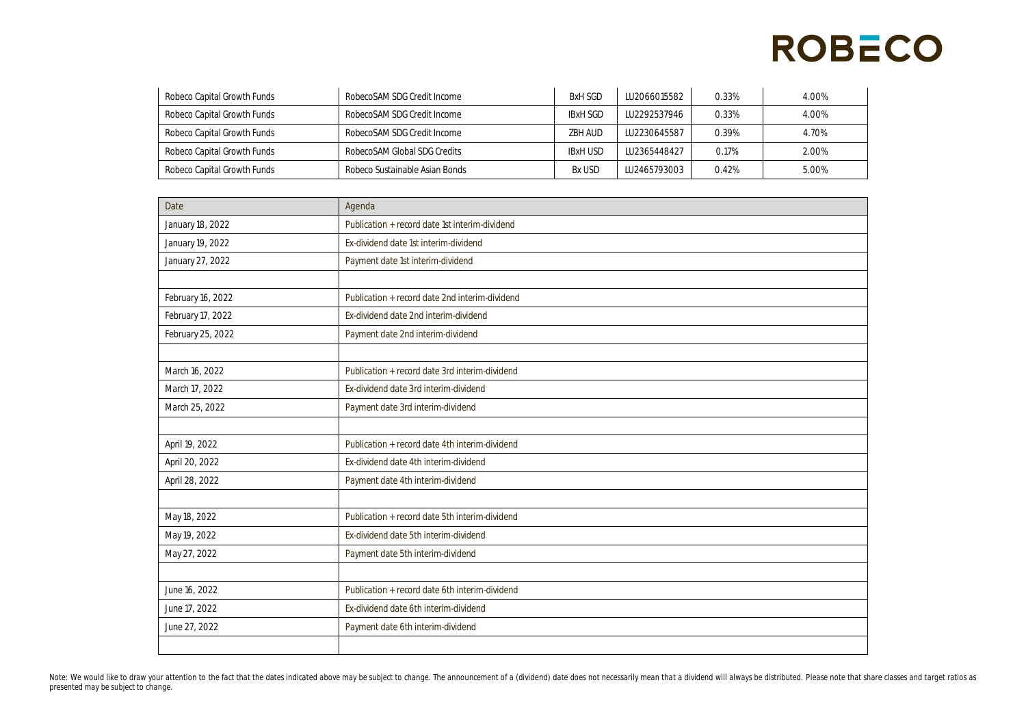| Robeco Capital Growth Funds | RobecoSAM SDG Credit Income    | <b>BxH SGD</b>  | LU2066015582  | 0.33% | 4.00% |
|-----------------------------|--------------------------------|-----------------|---------------|-------|-------|
| Robeco Capital Growth Funds | RobecoSAM SDG Credit Income    | <b>IBXH SGD</b> | 112292537946  | 0.33% | 4.00% |
| Robeco Capital Growth Funds | RobecoSAM SDG Credit Income    | 7BH AUD         | 1112230645587 | 0.39% | 4.70% |
| Robeco Capital Growth Funds | RobecoSAM Global SDG Credits   | <b>IBxH USD</b> | 1112365448427 | 0.17% | 2.00% |
| Robeco Capital Growth Funds | Robeco Sustainable Asian Bonds | <b>Bx USD</b>   | U2465793003   | 0.42% | 5.00% |

| Date              | Agenda                                         |
|-------------------|------------------------------------------------|
| January 18, 2022  | Publication + record date 1st interim-dividend |
| January 19, 2022  | Ex-dividend date 1st interim-dividend          |
| January 27, 2022  | Payment date 1st interim-dividend              |
|                   |                                                |
| February 16, 2022 | Publication + record date 2nd interim-dividend |
| February 17, 2022 | Ex-dividend date 2nd interim-dividend          |
| February 25, 2022 | Payment date 2nd interim-dividend              |
|                   |                                                |
| March 16, 2022    | Publication + record date 3rd interim-dividend |
| March 17, 2022    | Ex-dividend date 3rd interim-dividend          |
| March 25, 2022    | Payment date 3rd interim-dividend              |
|                   |                                                |
| April 19, 2022    | Publication + record date 4th interim-dividend |
| April 20, 2022    | Ex-dividend date 4th interim-dividend          |
| April 28, 2022    | Payment date 4th interim-dividend              |
|                   |                                                |
| May 18, 2022      | Publication + record date 5th interim-dividend |
| May 19, 2022      | Ex-dividend date 5th interim-dividend          |
| May 27, 2022      | Payment date 5th interim-dividend              |
|                   |                                                |
| June 16, 2022     | Publication + record date 6th interim-dividend |
| June 17, 2022     | Ex-dividend date 6th interim-dividend          |
| June 27, 2022     | Payment date 6th interim-dividend              |
|                   |                                                |